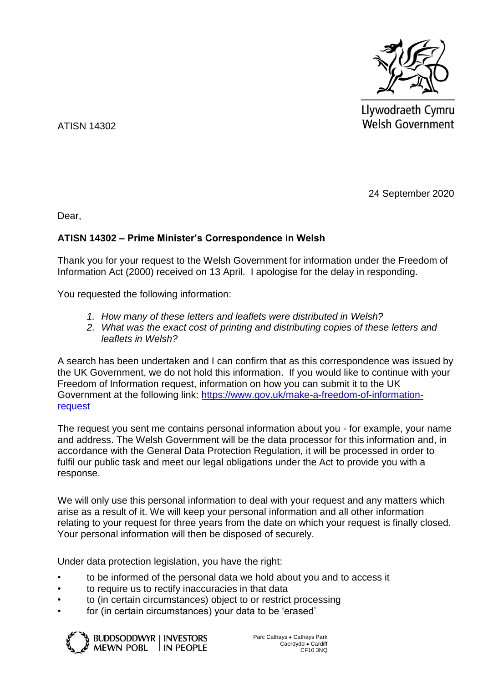

Llywodraeth Cymru **Welsh Government** 

ATISN 14302

24 September 2020

Dear,

## **ATISN 14302 – Prime Minister's Correspondence in Welsh**

Thank you for your request to the Welsh Government for information under the Freedom of Information Act (2000) received on 13 April. I apologise for the delay in responding.

You requested the following information:

- *1. How many of these letters and leaflets were distributed in Welsh?*
- *2. What was the exact cost of printing and distributing copies of these letters and leaflets in Welsh?*

A search has been undertaken and I can confirm that as this correspondence was issued by the UK Government, we do not hold this information. If you would like to continue with your Freedom of Information request, information on how you can submit it to the UK Government at the following link: [https://www.gov.uk/make-a-freedom-of-information](https://www.gov.uk/make-a-freedom-of-information-request)[request](https://www.gov.uk/make-a-freedom-of-information-request)

The request you sent me contains personal information about you - for example, your name and address. The Welsh Government will be the data processor for this information and, in accordance with the General Data Protection Regulation, it will be processed in order to fulfil our public task and meet our legal obligations under the Act to provide you with a response.

We will only use this personal information to deal with your request and any matters which arise as a result of it. We will keep your personal information and all other information relating to your request for three years from the date on which your request is finally closed. Your personal information will then be disposed of securely.

Under data protection legislation, you have the right:

- to be informed of the personal data we hold about you and to access it
- to require us to rectify inaccuracies in that data
- to (in certain circumstances) object to or restrict processing
- for (in certain circumstances) your data to be 'erased'